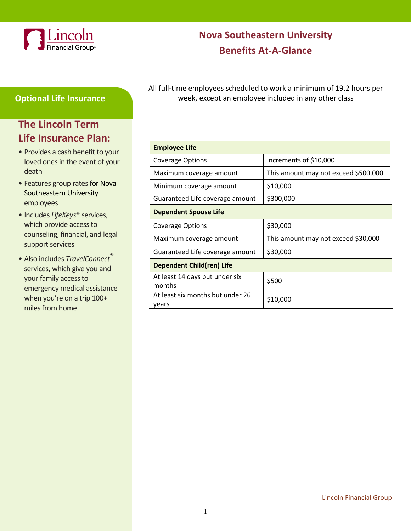

# **Nova Southeastern University Benefits At-A-Glance**

# **Optional Life Insurance**

# **The Lincoln Term Life Insurance Plan:**

- Provides a cash benefit to your loved ones in the event of your death
- Features group rates for Nova Southeastern University employees
- Includes *LifeKeys*® services, which provide access to counseling, financial, and legal support services
- Also includes *TravelConnect*® services, which give you and your family access to emergency medical assistance when you're on a trip 100+ miles from home

All full-time employees scheduled to work a minimum of 19.2 hours per week, except an employee included in any other class

| <b>Employee Life</b>                      |                                      |  |
|-------------------------------------------|--------------------------------------|--|
| <b>Coverage Options</b>                   | Increments of \$10,000               |  |
| Maximum coverage amount                   | This amount may not exceed \$500,000 |  |
| Minimum coverage amount                   | \$10,000                             |  |
| Guaranteed Life coverage amount           | \$300,000                            |  |
| <b>Dependent Spouse Life</b>              |                                      |  |
| Coverage Options                          | \$30,000                             |  |
| Maximum coverage amount                   | This amount may not exceed \$30,000  |  |
| Guaranteed Life coverage amount           | \$30,000                             |  |
| Dependent Child(ren) Life                 |                                      |  |
| At least 14 days but under six<br>months  | \$500                                |  |
| At least six months but under 26<br>years | \$10,000                             |  |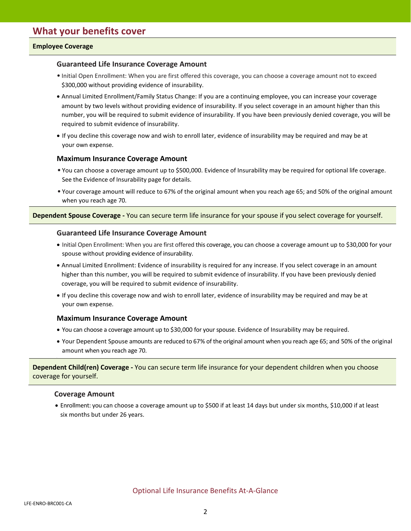## **Employee Coverage**

## **Guaranteed Life Insurance Coverage Amount**

- Initial Open Enrollment: When you are first offered this coverage, you can choose a coverage amount not to exceed \$300,000 without providing evidence of insurability.
- Annual Limited Enrollment/Family Status Change: If you are a continuing employee, you can increase your coverage amount by two levels without providing evidence of insurability. If you select coverage in an amount higher than this number, you will be required to submit evidence of insurability. If you have been previously denied coverage, you will be required to submit evidence of insurability.
- If you decline this coverage now and wish to enroll later, evidence of insurability may be required and may be at your own expense.

## **Maximum Insurance Coverage Amount**

- You can choose a coverage amount up to \$500,000. Evidence of Insurability may be required for optional life coverage. See the Evidence of Insurability page for details.
- Your coverage amount will reduce to 67% of the original amount when you reach age 65; and 50% of the original amount when you reach age 70.

#### **Dependent Spouse Coverage -** You can secure term life insurance for your spouse if you select coverage for yourself.

## **Guaranteed Life Insurance Coverage Amount**

- Initial Open Enrollment: When you are first offered this coverage, you can choose a coverage amount up to \$30,000 for your spouse without providing evidence of insurability.
- Annual Limited Enrollment: Evidence of insurability is required for any increase. If you select coverage in an amount higher than this number, you will be required to submit evidence of insurability. If you have been previously denied coverage, you will be required to submit evidence of insurability.
- If you decline this coverage now and wish to enroll later, evidence of insurability may be required and may be at your own expense.

## **Maximum Insurance Coverage Amount**

- You can choose a coverage amount up to \$30,000 for your spouse. Evidence of Insurability may be required.
- Your Dependent Spouse amounts are reduced to 67% of the original amount when you reach age 65; and 50% of the original amount when you reach age 70.

**Dependent Child(ren) Coverage -** You can secure term life insurance for your dependent children when you choose coverage for yourself.

## **Coverage Amount**

• Enrollment: you can choose a coverage amount up to \$500 if at least 14 days but under six months, \$10,000 if at least six months but under 26 years.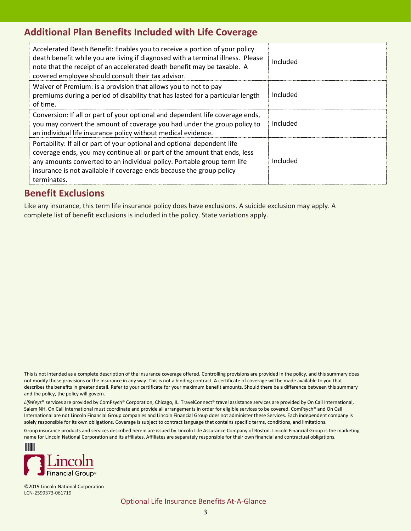# **Additional Plan Benefits Included with Life Coverage**

| Accelerated Death Benefit: Enables you to receive a portion of your policy<br>death benefit while you are living if diagnosed with a terminal illness. Please<br>note that the receipt of an accelerated death benefit may be taxable. A<br>covered employee should consult their tax advisor.                          | Included |
|-------------------------------------------------------------------------------------------------------------------------------------------------------------------------------------------------------------------------------------------------------------------------------------------------------------------------|----------|
| Waiver of Premium: is a provision that allows you to not to pay<br>premiums during a period of disability that has lasted for a particular length<br>of time.                                                                                                                                                           | Included |
| Conversion: If all or part of your optional and dependent life coverage ends,<br>you may convert the amount of coverage you had under the group policy to<br>an individual life insurance policy without medical evidence.                                                                                              | Included |
| Portability: If all or part of your optional and optional dependent life<br>coverage ends, you may continue all or part of the amount that ends, less<br>any amounts converted to an individual policy. Portable group term life<br>insurance is not available if coverage ends because the group policy<br>terminates. | Included |

# **Benefit Exclusions**

Like any insurance, this term life insurance policy does have exclusions. A suicide exclusion may apply. A complete list of benefit exclusions is included in the policy. State variations apply.

This is not intended as a complete description of the insurance coverage offered. Controlling provisions are provided in the policy, and this summary does not modify those provisions or the insurance in any way. This is not a binding contract. A certificate of coverage will be made available to you that describes the benefits in greater detail. Refer to your certificate for your maximum benefit amounts. Should there be a difference between this summary and the policy, the policy will govern.

*LifeKeys*® services are provided by ComPsych® Corporation, Chicago, IL. TravelConnect® travel assistance services are provided by On Call International, Salem NH. On Call International must coordinate and provide all arrangements in order for eligible services to be covered. ComPsych® and On Call International are not Lincoln Financial Group companies and Lincoln Financial Group does not administer these Services. Each independent company is solely responsible for its own obligations. Coverage is subject to contract language that contains specific terms, conditions, and limitations.

Group insurance products and services described herein are issued by Lincoln Life Assurance Company of Boston. Lincoln Financial Group is the marketing name for Lincoln National Corporation and its affiliates. Affiliates are separately responsible for their own financial and contractual obligations.



©2019 Lincoln National Corporation LCN-2599373-061719

Optional Life Insurance Benefits At-A-Glance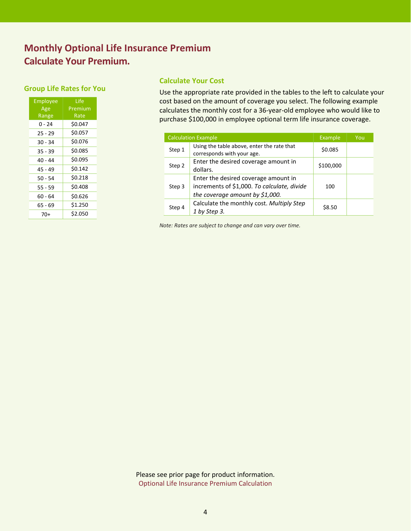# **Monthly Optional Life Insurance Premium Calculate Your Premium.**

# **Group Life Rates for You**

| <b>Employee</b><br>Age | Life<br>Premium |
|------------------------|-----------------|
| Range                  | Rate            |
| 0 - 24                 | \$0.047         |
| $25 - 29$              | \$0.057         |
| 30 - 34                | \$0.076         |
| $35 - 39$              | \$0.085         |
| 40 - 44                | \$0.095         |
| 45 - 49                | \$0.142         |
| 50 - 54                | \$0.218         |
| 55 - 59                | \$0.408         |
| 60 - 64                | \$0.626         |
| 65 - 69                | \$1.250         |
| 70+                    | \$2.050         |

# **Calculate Your Cost**

Use the appropriate rate provided in the tables to the left to calculate your cost based on the amount of coverage you select. The following example calculates the monthly cost for a 36-year-old employee who would like to purchase \$100,000 in employee optional term life insurance coverage.

| <b>Calculation Example</b> |                                                                                                                          | Example   | You |
|----------------------------|--------------------------------------------------------------------------------------------------------------------------|-----------|-----|
| Step 1                     | Using the table above, enter the rate that<br>corresponds with your age.                                                 | \$0.085   |     |
| Step 2                     | Enter the desired coverage amount in<br>dollars.                                                                         | \$100,000 |     |
| Step 3                     | Enter the desired coverage amount in<br>increments of \$1,000. To calculate, divide<br>the coverage amount by $$1,000$ . | 100       |     |
| Step 4                     | Calculate the monthly cost. Multiply Step<br>1 by Step 3.                                                                | \$8.50    |     |

*Note: Rates are subject to change and can vary over time.*

Please see prior page for product information. Optional Life Insurance Premium Calculation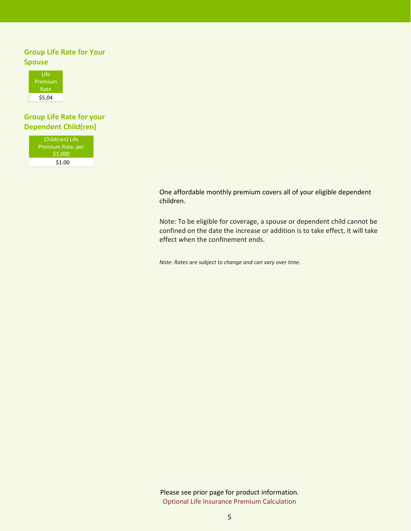# **Group Life Rate for Your Spouse**



# **Group Life Rate for your Dependent Child(ren)**

| Child(ren) Life   |
|-------------------|
| Premium Rate, per |
| \$1,000           |
| \$1.00            |
|                   |

One affordable monthly premium covers all of your eligible dependent children.

Note: To be eligible for coverage, a spouse or dependent child cannot be confined on the date the increase or addition is to take effect, it will take effect when the confinement ends.

*Note: Rates are subject to change and can vary over time.*

Please see prior page for product information. Optional Life Insurance Premium Calculation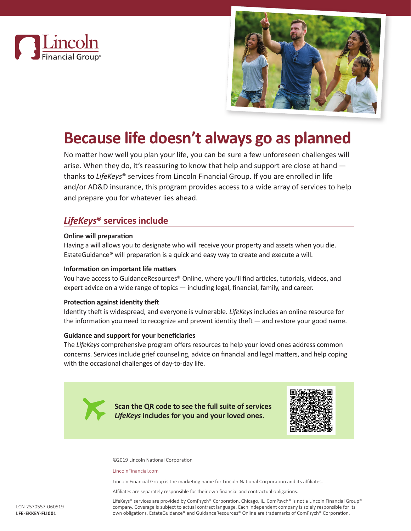



# **Because life doesn't always go as planned**

No matter how well you plan your life, you can be sure a few unforeseen challenges will arise. When they do, it's reassuring to know that help and support are close at hand   thanks to *LifeKeys*® services from Lincoln Financial Group. If you are enrolled in life and/or AD&D insurance, this program provides access to a wide array of services to help and prepare you for whatever lies ahead.

# *LifeKeys***® services include**

# **Online will preparation**

Having a will allows you to designate who will receive your property and assets when you die. EstateGuidance® will preparation is a quick and easy way to create and execute a will.

# **Information on important life matters**

You have access to GuidanceResources® Online, where you'll find articles, tutorials, videos, and expert advice on a wide range of topics — including legal, financial, family, and career.

## **Protection against identity theft**

Identity theft is widespread, and everyone is vulnerable. *LifeKeys* includes an online resource for the information you need to recognize and prevent identity theft — and restore your good name.

## **Guidance and support for your beneficiaries**

The *LifeKeys* comprehensive program offers resources to help your loved ones address common concerns. Services include grief counseling, advice on financial and legal matters, and help coping with the occasional challenges of day-to-day life.

> **Scan the QR code to see the full suite of services**  *LifeKeys* **includes for you and your loved ones.**



©2019 Lincoln National Corporation

#### LincolnFinancial.com

Lincoln Financial Group is the marketing name for Lincoln National Corporation and its affiliates.

Affiliates are separately responsible for their own financial and contractual obligations.

LifeKeys® services are provided by ComPsych® Corporation, Chicago, IL. ComPsych® is not a Lincoln Financial Group® company. Coverage is subject to actual contract language. Each independent company is solely responsible for its own obligations. EstateGuidance® and GuidanceResources® Online are trademarks of ComPsych® Corporation.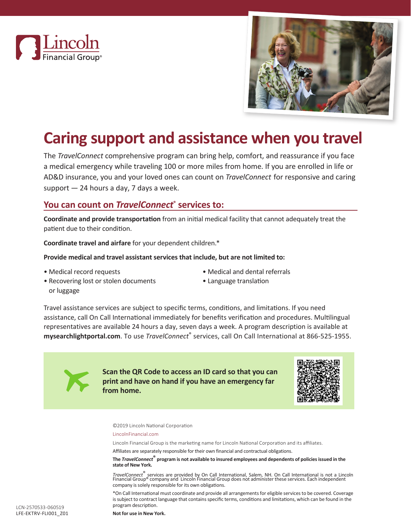



# **Caring support and assistance when you travel**

The *TravelConnect* comprehensive program can bring help, comfort, and reassurance if you face a medical emergency while traveling 100 or more miles from home. If you are enrolled in life or AD&D insurance, you and your loved ones can count on *TravelConnect*  for responsive and caring support — 24 hours a day, 7 days a week.

# **You can count on** *TravelConnect***® services to:**

**Coordinate and provide transportation** from an initial medical facility that cannot adequately treat the patient due to their condition.

**Coordinate travel and airfare** for your dependent children.\*

## **Provide medical and travel assistant services that include, but are not limited to:**

• Medical record requests

- Medical and dental referrals
- Language translation
- Recovering lost or stolen documents or luggage

Travel assistance services are subject to specific terms, conditions, and limitations. If you need assistance, call On Call International immediately for benefits verification and procedures. Multilingual representatives are available 24 hours a day, seven days a week. A program description is available at **mysearchlightportal.com**. To use *TravelConnect*® services, call On Call International at 866-525-1955.



**Scan the QR Code to access an ID card so that you can print and have on hand if you have an emergency far from home.**



©2019 Lincoln National Corporation

#### LincolnFinancial.com

Lincoln Financial Group is the marketing name for Lincoln National Corporation and its affiliates.

Affiliates are separately responsible for their own financial and contractual obligations.

**The** *TravelConnect***® program is not available to insured employees and dependents of policies issued in the state of New York.**

TravelConnect<sup>®</sup> services are provided by On Call International, Salem, NH. On Call International is not a Lincoln<br>Financial Group® company and Lincoln Financial Group does not administer these services. Each independent company is solely responsible for its own obligations.

\*On Call International must coordinate and provide all arrangements for eligible services to be covered. Coverage is subject to contract language that contains specific terms, conditions and limitations, which can be found in the program description.